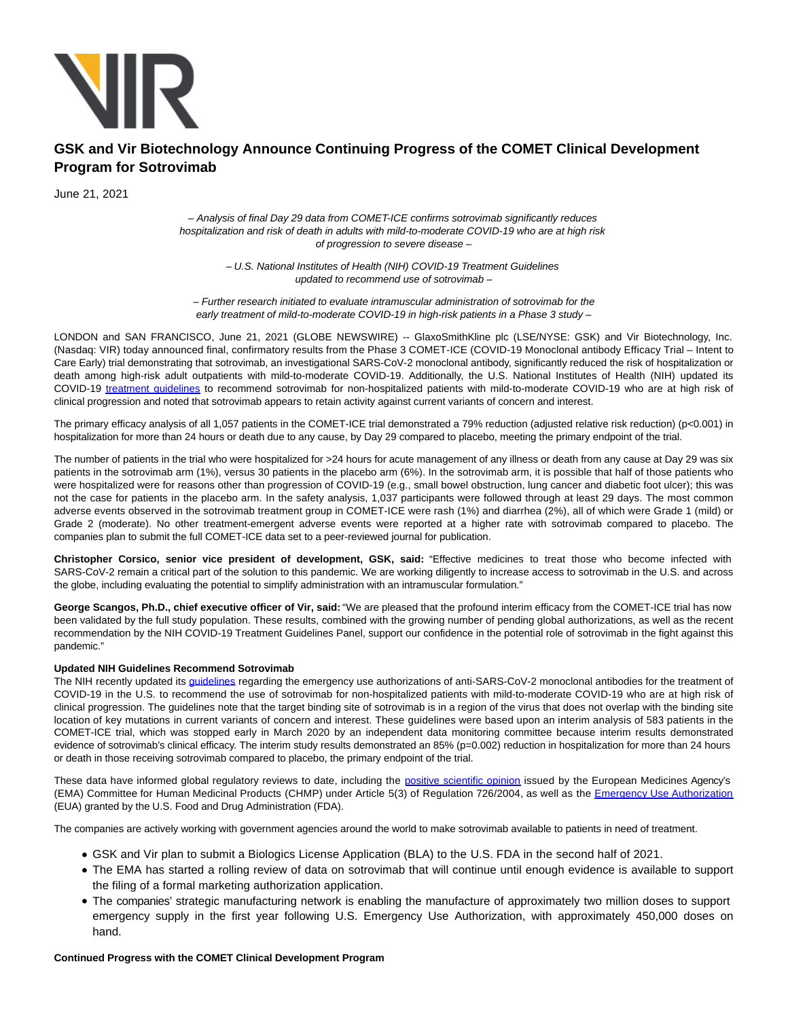

# **GSK and Vir Biotechnology Announce Continuing Progress of the COMET Clinical Development Program for Sotrovimab**

June 21, 2021

# – Analysis of final Day 29 data from COMET-ICE confirms sotrovimab significantly reduces hospitalization and risk of death in adults with mild-to-moderate COVID-19 who are at high risk of progression to severe disease –

– U.S. National Institutes of Health (NIH) COVID-19 Treatment Guidelines updated to recommend use of sotrovimab –

– Further research initiated to evaluate intramuscular administration of sotrovimab for the early treatment of mild-to-moderate COVID-19 in high-risk patients in a Phase 3 study –

LONDON and SAN FRANCISCO, June 21, 2021 (GLOBE NEWSWIRE) -- GlaxoSmithKline plc (LSE/NYSE: GSK) and Vir Biotechnology, Inc. (Nasdaq: VIR) today announced final, confirmatory results from the Phase 3 COMET-ICE (COVID-19 Monoclonal antibody Efficacy Trial – Intent to Care Early) trial demonstrating that sotrovimab, an investigational SARS-CoV-2 monoclonal antibody, significantly reduced the risk of hospitalization or death among high-risk adult outpatients with mild-to-moderate COVID-19. Additionally, the U.S. National Institutes of Health (NIH) updated its COVID-19 [treatment guidelines](https://www.globenewswire.com/Tracker?data=XxlpbYeYJ5SvQIyafhrIFwC3XoRlJbeYzwQHO_j9JriV6dr_RAzkMxuh7UrSGhQSEQh4LkfuY11qHveFiqcX8M9jOrk9X8mBxY5KDngF_RBe8eC0qppxVKJhC8fX6IvMEo7gQyL0-E1Cbxx9mLblA5hghsbOBwgkONS6B52ofuyAwoFwKDvRSt5r-6CWlxuHiMRcDfZ6W5pu9rRKEKju1Q==) to recommend sotrovimab for non-hospitalized patients with mild-to-moderate COVID-19 who are at high risk of clinical progression and noted that sotrovimab appears to retain activity against current variants of concern and interest.

The primary efficacy analysis of all 1,057 patients in the COMET-ICE trial demonstrated a 79% reduction (adjusted relative risk reduction) (p<0.001) in hospitalization for more than 24 hours or death due to any cause, by Day 29 compared to placebo, meeting the primary endpoint of the trial.

The number of patients in the trial who were hospitalized for >24 hours for acute management of any illness or death from any cause at Day 29 was six patients in the sotrovimab arm (1%), versus 30 patients in the placebo arm (6%). In the sotrovimab arm, it is possible that half of those patients who were hospitalized were for reasons other than progression of COVID-19 (e.g., small bowel obstruction, lung cancer and diabetic foot ulcer); this was not the case for patients in the placebo arm. In the safety analysis, 1,037 participants were followed through at least 29 days. The most common adverse events observed in the sotrovimab treatment group in COMET-ICE were rash (1%) and diarrhea (2%), all of which were Grade 1 (mild) or Grade 2 (moderate). No other treatment-emergent adverse events were reported at a higher rate with sotrovimab compared to placebo. The companies plan to submit the full COMET-ICE data set to a peer-reviewed journal for publication.

**Christopher Corsico, senior vice president of development, GSK, said:** "Effective medicines to treat those who become infected with SARS-CoV-2 remain a critical part of the solution to this pandemic. We are working diligently to increase access to sotrovimab in the U.S. and across the globe, including evaluating the potential to simplify administration with an intramuscular formulation."

**George Scangos, Ph.D., chief executive officer of Vir, said:** "We are pleased that the profound interim efficacy from the COMET-ICE trial has now been validated by the full study population. These results, combined with the growing number of pending global authorizations, as well as the recent recommendation by the NIH COVID-19 Treatment Guidelines Panel, support our confidence in the potential role of sotrovimab in the fight against this pandemic."

# **Updated NIH Guidelines Recommend Sotrovimab**

The NIH recently updated its quidelines regarding the emergency use authorizations of anti-SARS-CoV-2 monoclonal antibodies for the treatment of COVID-19 in the U.S. to recommend the use of sotrovimab for non-hospitalized patients with mild-to-moderate COVID-19 who are at high risk of clinical progression. The guidelines note that the target binding site of sotrovimab is in a region of the virus that does not overlap with the binding site location of key mutations in current variants of concern and interest. These guidelines were based upon an interim analysis of 583 patients in the COMET-ICE trial, which was stopped early in March 2020 by an independent data monitoring committee because interim results demonstrated evidence of sotrovimab's clinical efficacy. The interim study results demonstrated an 85% (p=0.002) reduction in hospitalization for more than 24 hours or death in those receiving sotrovimab compared to placebo, the primary endpoint of the trial.

These data have informed global regulatory reviews to date, including the [positive scientific opinion i](https://www.globenewswire.com/Tracker?data=hbbkAYREnO9ycmSUHm6aT5PlzgSmNHD1QsU-lZ0REZz6ZEAM2P68OlyBpWa0dRXEI402rJrG_lPQRbi0ZCSm3U9vRC4LlEoNzRkdxZ2OJrQj8gPXTWwqrNuOijv9LaorFh1yhtX4u2yuiOdWYawtHT6GyI3jhClxJJL8RvtqIq1vorEKEpwm-DsDdiUoh0hUEhmMOk9TbtRBhWVnFj7GoLPasX6A3RCwK2vwsdZPd0k=)ssued by the European Medicines Agency's (EMA) Committee for Human Medicinal Products (CHMP) under Article 5(3) of Regulation 726/2004, as well as the [Emergency Use Authorization](https://www.globenewswire.com/Tracker?data=DQlr0aT0pKyrg3OuSnnCn8hqBtZlv3K7wMvB-1P6FjCRyf6Qa2V7oNk7Wjn1GcfFaEmnmZdE_HTmgzWZ7Amyg4XgYhREZCZNf9ri0yJFUhP2NzUTLOHldTy331_vz7QuDD-8iKXArVDyWq2dzsD1as4bt9oT0RmV3gm3usfSMXJCQ2aP79ql4oX2O7kHuL2G1joPMxjIiY6ncHjRgQYWNR8matmGOrxmHHLPQOTDCvk=) (EUA) granted by the U.S. Food and Drug Administration (FDA).

The companies are actively working with government agencies around the world to make sotrovimab available to patients in need of treatment.

- GSK and Vir plan to submit a Biologics License Application (BLA) to the U.S. FDA in the second half of 2021.
- The EMA has started a rolling review of data on sotrovimab that will continue until enough evidence is available to support the filing of a formal marketing authorization application.
- The companies' strategic manufacturing network is enabling the manufacture of approximately two million doses to support emergency supply in the first year following U.S. Emergency Use Authorization, with approximately 450,000 doses on hand.

# **Continued Progress with the COMET Clinical Development Program**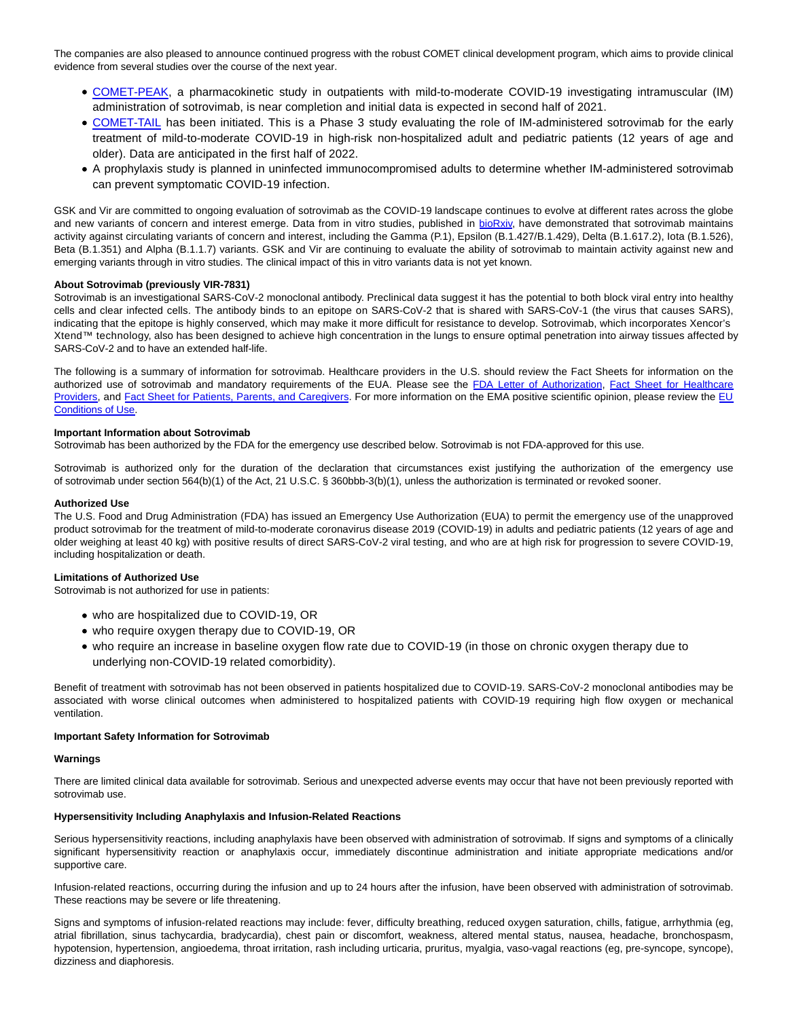The companies are also pleased to announce continued progress with the robust COMET clinical development program, which aims to provide clinical evidence from several studies over the course of the next year.

- [COMET-PEAK,](https://clinicaltrials.gov/ct2/show/NCT04779879?term=COMET-PEAK&draw=2&rank=1) a pharmacokinetic study in outpatients with mild-to-moderate COVID-19 investigating intramuscular (IM) administration of sotrovimab, is near completion and initial data is expected in second half of 2021.
- [COMET-TAIL](https://urldefense.com/v3/__https:/www.clinicaltrials.gov/ct2/show/NCT04913675?term=vir-7831&draw=2&rank=3__;!!AoaiBx6H!lt6HnBUdIYZjewKAEBvkCeS6aPMf8Qibgg2y-XkRsoK9ZJNSt1-U_0lJVueyZTD0$) has been initiated. This is a Phase 3 study evaluating the role of IM-administered sotrovimab for the early treatment of mild-to-moderate COVID-19 in high-risk non-hospitalized adult and pediatric patients (12 years of age and older). Data are anticipated in the first half of 2022.
- A prophylaxis study is planned in uninfected immunocompromised adults to determine whether IM-administered sotrovimab can prevent symptomatic COVID-19 infection.

GSK and Vir are committed to ongoing evaluation of sotrovimab as the COVID-19 landscape continues to evolve at different rates across the globe and new variants of concern and interest emerge. Data from in vitro studies, published in [bioRxiv,](https://www.globenewswire.com/Tracker?data=WnOdmFqAsdSt2HJ-OYGMFZQXcYFGtgU8igwprrkAgN9ajjZSoE1pTH-IpeJ9AQymOiS7nNCwPTveF5zxhQ6sFk3o_l_EmvWn2pj3SwUgIs9Id66s9cY3L4D_Df0bFJMO) have demonstrated that sotrovimab maintains activity against circulating variants of concern and interest, including the Gamma (P.1), Epsilon (B.1.427/B.1.429), Delta (B.1.617.2), Iota (B.1.526), Beta (B.1.351) and Alpha (B.1.1.7) variants. GSK and Vir are continuing to evaluate the ability of sotrovimab to maintain activity against new and emerging variants through in vitro studies. The clinical impact of this in vitro variants data is not yet known.

# **About Sotrovimab (previously VIR-7831)**

Sotrovimab is an investigational SARS-CoV-2 monoclonal antibody. Preclinical data suggest it has the potential to both block viral entry into healthy cells and clear infected cells. The antibody binds to an epitope on SARS-CoV-2 that is shared with SARS-CoV-1 (the virus that causes SARS), indicating that the epitope is highly conserved, which may make it more difficult for resistance to develop. Sotrovimab, which incorporates Xencor's Xtend™ technology, also has been designed to achieve high concentration in the lungs to ensure optimal penetration into airway tissues affected by SARS-CoV-2 and to have an extended half-life.

The following is a summary of information for sotrovimab. Healthcare providers in the U.S. should review the Fact Sheets for information on the authorized use of sotrovimab and mandatory requirements of the EUA. Please see the [FDA Letter of Authorization,](https://www.globenewswire.com/Tracker?data=TTto1XpJg5CIeIkgXcuNzEJwb360qN10H7ZDznqIhsjvhgM9zv-1M8MNcoF2_0MYFItOL5XCAnxKFWeVQvrombpAnLCNFWW3CUmD0uxevySlGVL72ELp48Gnz3lpuWmQHJ-wO8bPWRAmUVlRDgmfqpBCTPKIHvJQDTSvyamyGH5XaKVfy9o8KA9pNKyqH9-XVYPuHFd3to55tqXN9Ahd9Q==) [Fact Sheet for Healthcare](https://www.globenewswire.com/Tracker?data=U8K66YLCVlSJc1dr9kXW2CStiuROExBRUDuY5JvqPvdGf8WpxS64x8NbREF44DY-48tKnUib34uJtPymH8apXk-PuSM-2mwDh54mX7TCC36CndbuijUaNY2PqXluMMmZgtheTSDOg3I8G9m9BN1b3cLdeKgbCnom6MYyhSBi1JUFo9aIzo7SBU-nfiaGf4zSYHakTZ50Sxxif3v2IirD8gIff9dzHy9kVu1lmYr1XCw8q4ZGw5fMkI_EWcVs6dre) Providers, and [Fact Sheet for Patients, Parents, and Caregivers.](https://www.globenewswire.com/Tracker?data=U8K66YLCVlSJc1dr9kXW2G8k5J0spOZSZo2sGqrW3u2bzHLm_IqsJ-8MoxfTbFEg2Lva3tWbu2x1FAcp48WG6kw9a4xdrTk5fcDwiaQtgh87kKkisQQuuDjh6Z08r-D_Qd9aqpFbw_1hWfszICMlKJfk-XOi9JKwcgoT1haY8LoukJTp68Qp3QYR4WDFSJVBD-H3GO_zmebiMNBMyInqTIuOhVvfO02gwFg2xJ_gzYBw8LhjuPGbyyy1bIRpV-iwzrD3syXo9nLJsy1agkm9qA==) For more information on the EMA positive scientific opinion, please review the [EU](https://www.globenewswire.com/Tracker?data=JQ-yhe0TOuaA7u27HDzdV1kqef3L8s4DNZ_bM4iwp5MD6VosC3_RsXt7TFIBrU3_-8riy9AlJoo_d-wLVgq7z4lJ7It9exNSLd9zyW2Nuy6nlewBzTPAFRS1HdvGUeqzJ-kyzl7_NF76Ku4p8-yq67q-0ihnoUKYrH-kfeXjp8PSFchHYo0ZuzX0g-1h552dYVjv_XUhhW9023as0P6Y3mdms9IvzEzP-YGxwqtMhE4YPcByI3PDL4tvTlvTzAOQQGaut5bohZx0522_Vs11MQ==) Conditions of Use.

# **Important Information about Sotrovimab**

Sotrovimab has been authorized by the FDA for the emergency use described below. Sotrovimab is not FDA-approved for this use.

Sotrovimab is authorized only for the duration of the declaration that circumstances exist justifying the authorization of the emergency use of sotrovimab under section 564(b)(1) of the Act, 21 U.S.C. § 360bbb-3(b)(1), unless the authorization is terminated or revoked sooner.

## **Authorized Use**

The U.S. Food and Drug Administration (FDA) has issued an Emergency Use Authorization (EUA) to permit the emergency use of the unapproved product sotrovimab for the treatment of mild-to-moderate coronavirus disease 2019 (COVID-19) in adults and pediatric patients (12 years of age and older weighing at least 40 kg) with positive results of direct SARS-CoV-2 viral testing, and who are at high risk for progression to severe COVID-19, including hospitalization or death.

## **Limitations of Authorized Use**

Sotrovimab is not authorized for use in patients:

- who are hospitalized due to COVID-19, OR
- who require oxygen therapy due to COVID-19, OR
- who require an increase in baseline oxygen flow rate due to COVID-19 (in those on chronic oxygen therapy due to underlying non-COVID-19 related comorbidity).

Benefit of treatment with sotrovimab has not been observed in patients hospitalized due to COVID-19. SARS-CoV-2 monoclonal antibodies may be associated with worse clinical outcomes when administered to hospitalized patients with COVID-19 requiring high flow oxygen or mechanical ventilation.

## **Important Safety Information for Sotrovimab**

## **Warnings**

There are limited clinical data available for sotrovimab. Serious and unexpected adverse events may occur that have not been previously reported with sotrovimab use.

## **Hypersensitivity Including Anaphylaxis and Infusion-Related Reactions**

Serious hypersensitivity reactions, including anaphylaxis have been observed with administration of sotrovimab. If signs and symptoms of a clinically significant hypersensitivity reaction or anaphylaxis occur, immediately discontinue administration and initiate appropriate medications and/or supportive care.

Infusion-related reactions, occurring during the infusion and up to 24 hours after the infusion, have been observed with administration of sotrovimab. These reactions may be severe or life threatening.

Signs and symptoms of infusion-related reactions may include: fever, difficulty breathing, reduced oxygen saturation, chills, fatigue, arrhythmia (eg, atrial fibrillation, sinus tachycardia, bradycardia), chest pain or discomfort, weakness, altered mental status, nausea, headache, bronchospasm, hypotension, hypertension, angioedema, throat irritation, rash including urticaria, pruritus, myalgia, vaso-vagal reactions (eg, pre-syncope, syncope), dizziness and diaphoresis.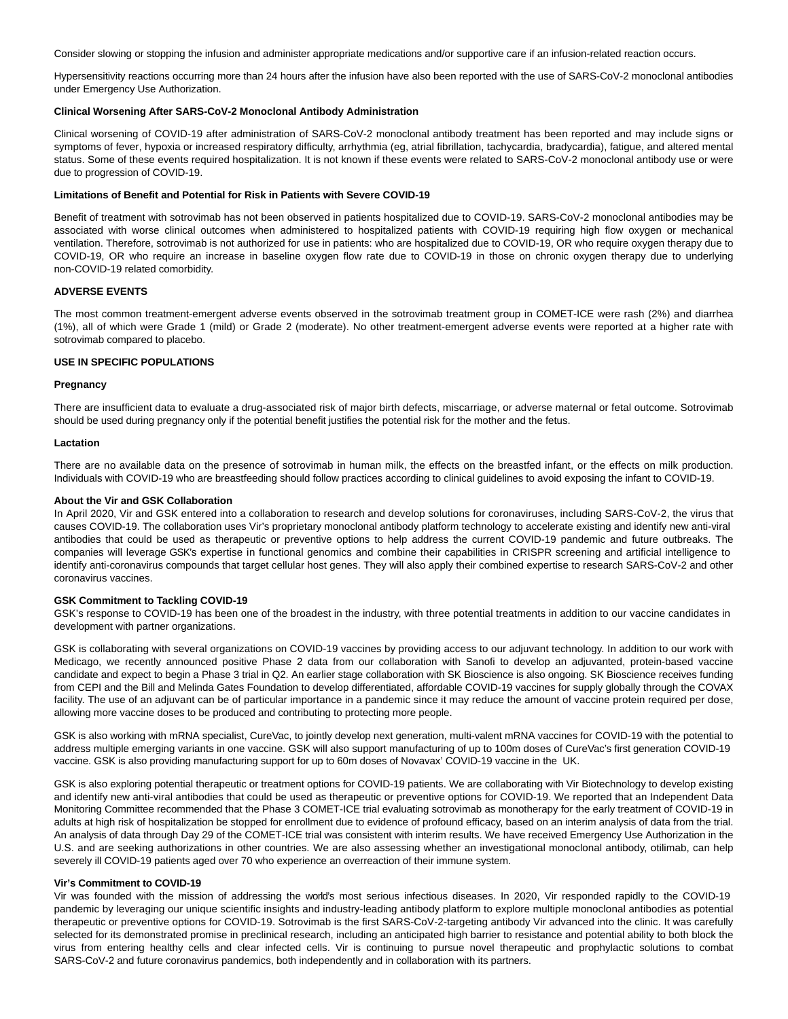Consider slowing or stopping the infusion and administer appropriate medications and/or supportive care if an infusion-related reaction occurs.

Hypersensitivity reactions occurring more than 24 hours after the infusion have also been reported with the use of SARS-CoV-2 monoclonal antibodies under Emergency Use Authorization.

## **Clinical Worsening After SARS-CoV-2 Monoclonal Antibody Administration**

Clinical worsening of COVID-19 after administration of SARS-CoV-2 monoclonal antibody treatment has been reported and may include signs or symptoms of fever, hypoxia or increased respiratory difficulty, arrhythmia (eg, atrial fibrillation, tachycardia, bradycardia), fatigue, and altered mental status. Some of these events required hospitalization. It is not known if these events were related to SARS-CoV-2 monoclonal antibody use or were due to progression of COVID-19.

## **Limitations of Benefit and Potential for Risk in Patients with Severe COVID-19**

Benefit of treatment with sotrovimab has not been observed in patients hospitalized due to COVID-19. SARS-CoV-2 monoclonal antibodies may be associated with worse clinical outcomes when administered to hospitalized patients with COVID-19 requiring high flow oxygen or mechanical ventilation. Therefore, sotrovimab is not authorized for use in patients: who are hospitalized due to COVID-19, OR who require oxygen therapy due to COVID-19, OR who require an increase in baseline oxygen flow rate due to COVID-19 in those on chronic oxygen therapy due to underlying non-COVID-19 related comorbidity.

## **ADVERSE EVENTS**

The most common treatment-emergent adverse events observed in the sotrovimab treatment group in COMET-ICE were rash (2%) and diarrhea (1%), all of which were Grade 1 (mild) or Grade 2 (moderate). No other treatment-emergent adverse events were reported at a higher rate with sotrovimab compared to placebo.

# **USE IN SPECIFIC POPULATIONS**

## **Pregnancy**

There are insufficient data to evaluate a drug-associated risk of major birth defects, miscarriage, or adverse maternal or fetal outcome. Sotrovimab should be used during pregnancy only if the potential benefit justifies the potential risk for the mother and the fetus.

## **Lactation**

There are no available data on the presence of sotrovimab in human milk, the effects on the breastfed infant, or the effects on milk production. Individuals with COVID-19 who are breastfeeding should follow practices according to clinical guidelines to avoid exposing the infant to COVID-19.

# **About the Vir and GSK Collaboration**

In April 2020, Vir and GSK entered into a collaboration to research and develop solutions for coronaviruses, including SARS-CoV-2, the virus that causes COVID-19. The collaboration uses Vir's proprietary monoclonal antibody platform technology to accelerate existing and identify new anti-viral antibodies that could be used as therapeutic or preventive options to help address the current COVID-19 pandemic and future outbreaks. The companies will leverage GSK's expertise in functional genomics and combine their capabilities in CRISPR screening and artificial intelligence to identify anti-coronavirus compounds that target cellular host genes. They will also apply their combined expertise to research SARS-CoV-2 and other coronavirus vaccines.

## **GSK Commitment to Tackling COVID-19**

GSK's response to COVID-19 has been one of the broadest in the industry, with three potential treatments in addition to our vaccine candidates in development with partner organizations.

GSK is collaborating with several organizations on COVID-19 vaccines by providing access to our adjuvant technology. In addition to our work with Medicago, we recently announced positive Phase 2 data from our collaboration with Sanofi to develop an adjuvanted, protein-based vaccine candidate and expect to begin a Phase 3 trial in Q2. An earlier stage collaboration with SK Bioscience is also ongoing. SK Bioscience receives funding from CEPI and the Bill and Melinda Gates Foundation to develop differentiated, affordable COVID-19 vaccines for supply globally through the COVAX facility. The use of an adjuvant can be of particular importance in a pandemic since it may reduce the amount of vaccine protein required per dose, allowing more vaccine doses to be produced and contributing to protecting more people.

GSK is also working with mRNA specialist, CureVac, to jointly develop next generation, multi-valent mRNA vaccines for COVID-19 with the potential to address multiple emerging variants in one vaccine. GSK will also support manufacturing of up to 100m doses of CureVac's first generation COVID-19 vaccine. GSK is also providing manufacturing support for up to 60m doses of Novavax' COVID-19 vaccine in the UK.

GSK is also exploring potential therapeutic or treatment options for COVID-19 patients. We are collaborating with Vir Biotechnology to develop existing and identify new anti-viral antibodies that could be used as therapeutic or preventive options for COVID-19. We reported that an Independent Data Monitoring Committee recommended that the Phase 3 COMET-ICE trial evaluating sotrovimab as monotherapy for the early treatment of COVID-19 in adults at high risk of hospitalization be stopped for enrollment due to evidence of profound efficacy, based on an interim analysis of data from the trial. An analysis of data through Day 29 of the COMET-ICE trial was consistent with interim results. We have received Emergency Use Authorization in the U.S. and are seeking authorizations in other countries. We are also assessing whether an investigational monoclonal antibody, otilimab, can help severely ill COVID-19 patients aged over 70 who experience an overreaction of their immune system.

## **Vir's Commitment to COVID-19**

Vir was founded with the mission of addressing the world's most serious infectious diseases. In 2020, Vir responded rapidly to the COVID-19 pandemic by leveraging our unique scientific insights and industry-leading antibody platform to explore multiple monoclonal antibodies as potential therapeutic or preventive options for COVID-19. Sotrovimab is the first SARS-CoV-2-targeting antibody Vir advanced into the clinic. It was carefully selected for its demonstrated promise in preclinical research, including an anticipated high barrier to resistance and potential ability to both block the virus from entering healthy cells and clear infected cells. Vir is continuing to pursue novel therapeutic and prophylactic solutions to combat SARS-CoV-2 and future coronavirus pandemics, both independently and in collaboration with its partners.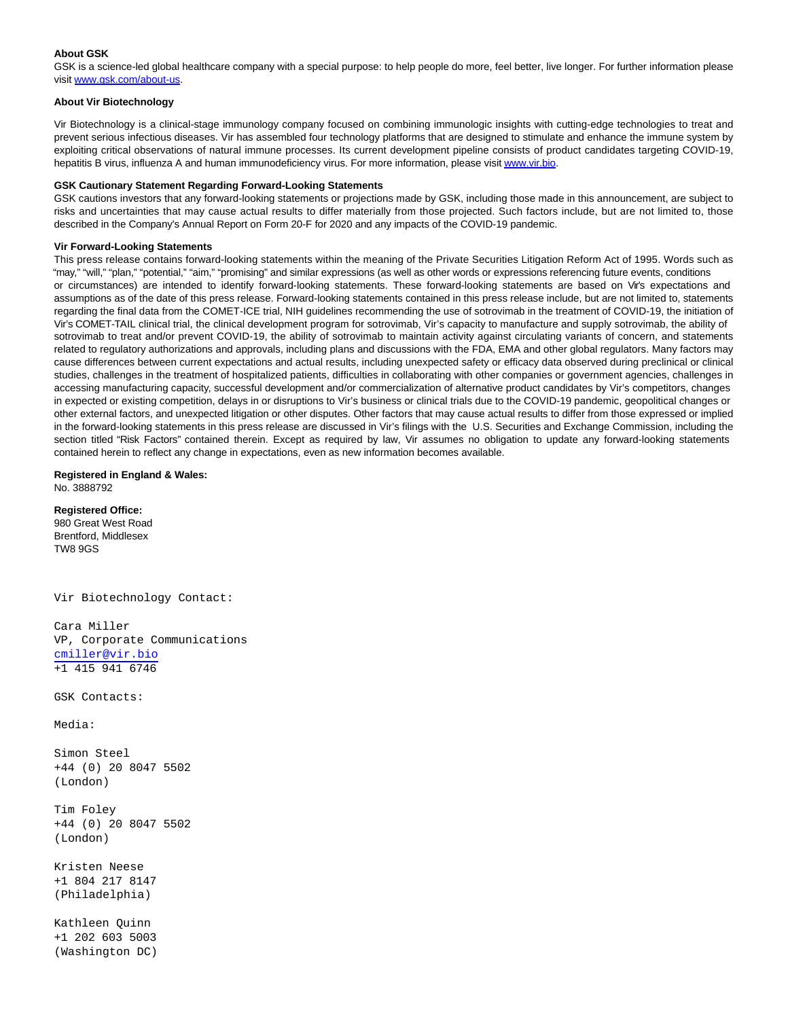# **About GSK**

GSK is a science-led global healthcare company with a special purpose: to help people do more, feel better, live longer. For further information please visit [www.gsk.com/about-us.](https://www.globenewswire.com/Tracker?data=IL8Z5MldBQRusyRMnElTlnwt4O40epTylYM-xj3PZaAQNL7a9eFYTeEKTj5Lv1IQ0Rrf6ZD7L0dyxmZPK2pS4g59v3CvBT2IzTN4C0GmMlM=)

# **About Vir Biotechnology**

Vir Biotechnology is a clinical-stage immunology company focused on combining immunologic insights with cutting-edge technologies to treat and prevent serious infectious diseases. Vir has assembled four technology platforms that are designed to stimulate and enhance the immune system by exploiting critical observations of natural immune processes. Its current development pipeline consists of product candidates targeting COVID-19, hepatitis B virus, influenza A and human immunodeficiency virus. For more information, please visit [www.vir.bio.](https://www.globenewswire.com/Tracker?data=9cuQl9ei3tRYFt6oikjG3B178RE1VrciHezVAMG-je9pF_55_EoPlReaCMkTNmXvfZkowfKGbdZO8UMq032qIQ==)

## **GSK Cautionary Statement Regarding Forward-Looking Statements**

GSK cautions investors that any forward-looking statements or projections made by GSK, including those made in this announcement, are subject to risks and uncertainties that may cause actual results to differ materially from those projected. Such factors include, but are not limited to, those described in the Company's Annual Report on Form 20-F for 2020 and any impacts of the COVID-19 pandemic.

## **Vir Forward-Looking Statements**

This press release contains forward-looking statements within the meaning of the Private Securities Litigation Reform Act of 1995. Words such as "may," "will," "plan," "potential," "aim," "promising" and similar expressions (as well as other words or expressions referencing future events, conditions or circumstances) are intended to identify forward-looking statements. These forward-looking statements are based on Vir's expectations and assumptions as of the date of this press release. Forward-looking statements contained in this press release include, but are not limited to, statements regarding the final data from the COMET-ICE trial, NIH guidelines recommending the use of sotrovimab in the treatment of COVID-19, the initiation of Vir's COMET-TAIL clinical trial, the clinical development program for sotrovimab, Vir's capacity to manufacture and supply sotrovimab, the ability of sotrovimab to treat and/or prevent COVID-19, the ability of sotrovimab to maintain activity against circulating variants of concern, and statements related to regulatory authorizations and approvals, including plans and discussions with the FDA, EMA and other global regulators. Many factors may cause differences between current expectations and actual results, including unexpected safety or efficacy data observed during preclinical or clinical studies, challenges in the treatment of hospitalized patients, difficulties in collaborating with other companies or government agencies, challenges in accessing manufacturing capacity, successful development and/or commercialization of alternative product candidates by Vir's competitors, changes in expected or existing competition, delays in or disruptions to Vir's business or clinical trials due to the COVID-19 pandemic, geopolitical changes or other external factors, and unexpected litigation or other disputes. Other factors that may cause actual results to differ from those expressed or implied in the forward-looking statements in this press release are discussed in Vir's filings with the U.S. Securities and Exchange Commission, including the section titled "Risk Factors" contained therein. Except as required by law, Vir assumes no obligation to update any forward-looking statements contained herein to reflect any change in expectations, even as new information becomes available.

# **Registered in England & Wales:**

No. 3888792

**Registered Office:** 980 Great West Road Brentford, Middlesex TW8 9GS

Vir Biotechnology Contact:

Cara Miller VP, Corporate Communications [cmiller@vir.bio](mailto:cmiller@vir.bio) +1 415 941 6746

GSK Contacts:

Media:

Simon Steel +44 (0) 20 8047 5502 (London)

Tim Foley +44 (0) 20 8047 5502 (London)

Kristen Neese +1 804 217 8147 (Philadelphia)

Kathleen Quinn +1 202 603 5003 (Washington DC)